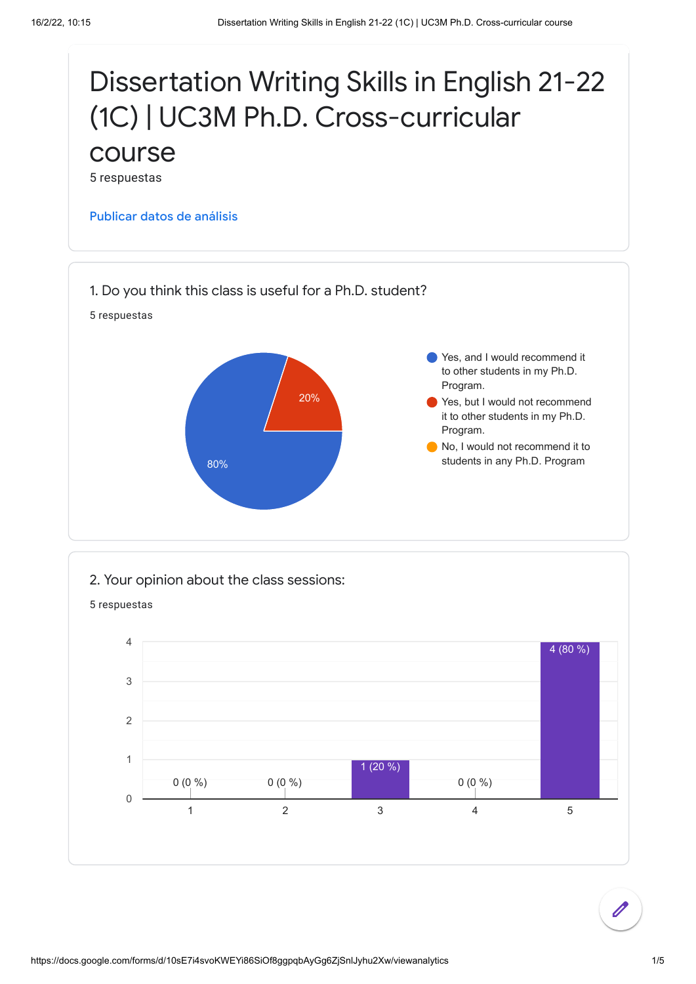

2. Your opinion about the class sessions:

5 respuestas

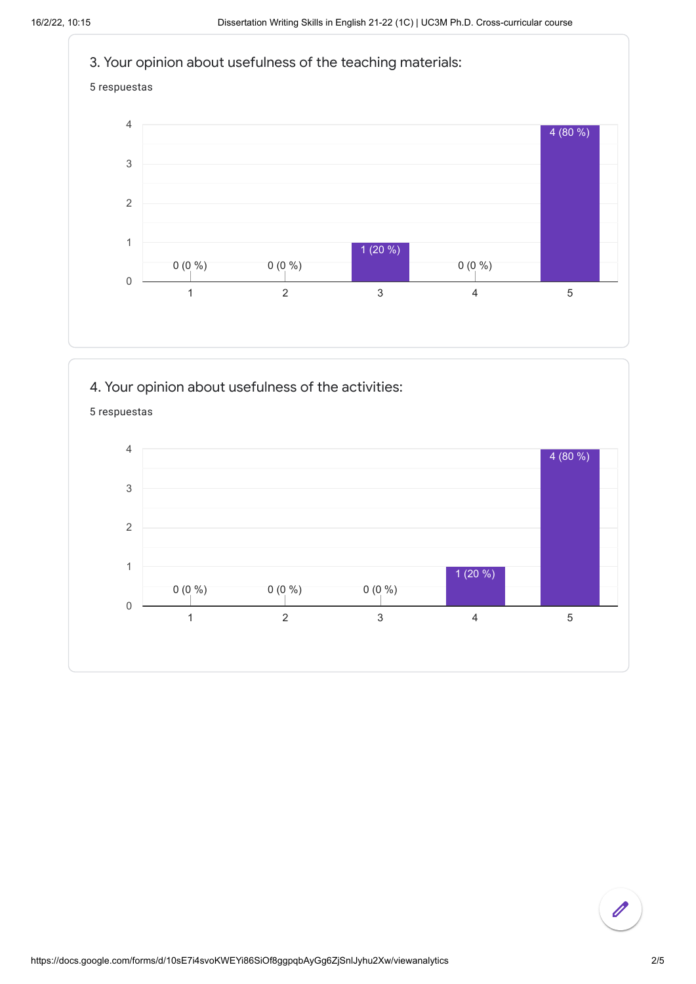







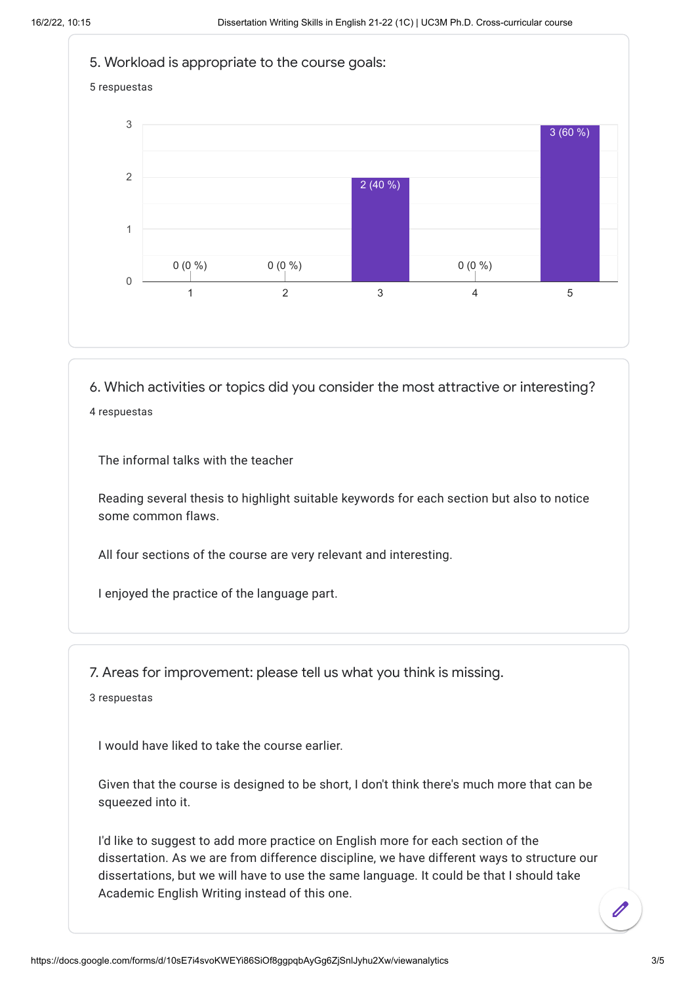

6. Which activities or topics did you consider the most attractive or interesting? 4 respuestas

The informal talks with the teacher

Reading several thesis to highlight suitable keywords for each section but also to notice some common flaws.

All four sections of the course are very relevant and interesting.

I enjoyed the practice of the language part.

7. Areas for improvement: please tell us what you think is missing.

3 respuestas

I would have liked to take the course earlier.

Given that the course is designed to be short, I don't think there's much more that can be squeezed into it.

I'd like to suggest to add more practice on English more for each section of the dissertation. As we are from difference discipline, we have different ways to structure our dissertations, but we will have to use the same language. It could be that I should take Academic English Writing instead of this one.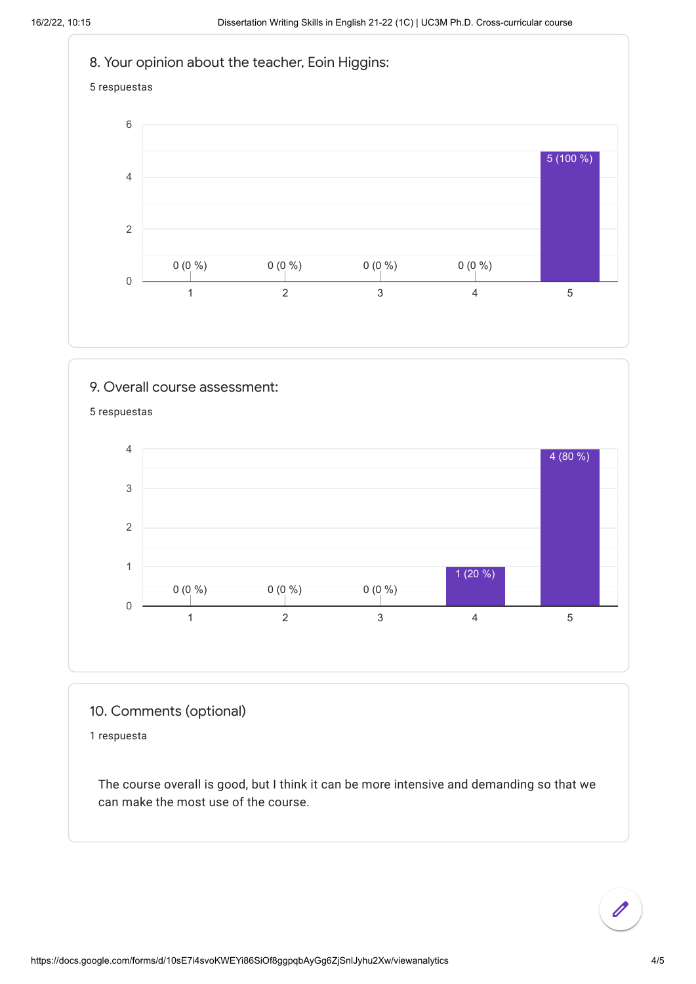

9. Overall course assessment: 5 respuestas 1 2 3 4 5 0 1 2 3 4  $0 (0 %)$  0  $(0 %)$  0  $(0 %)$  0  $(0 %)$  0  $(0 %)$  0  $(0 %)$  0  $(0 %)$  0  $(0 %)$  0  $(0 %)$  0  $(0 %)$  0  $(0 %)$  0  $(0 %)$  0  $(0 %)$  0  $(0 %)$  0  $(0 %)$  0  $(0 %)$  0  $(0 %)$  0  $(0 %)$  0  $(0 %)$  0  $(0 %)$  0  $(0 %)$  0  $(0 %)$  0  $(0 %)$  0  $(0 %)$  0  $(0 %$ 1 (20 %) 4 (80 %)

## 10. Comments (optional)

1 respuesta

The course overall is good, but I think it can be more intensive and demanding so that we can make the most use of the course.